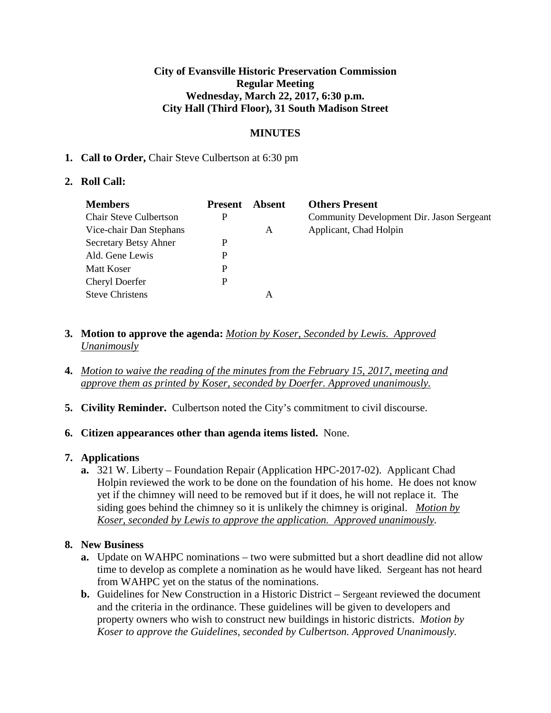### **City of Evansville Historic Preservation Commission Regular Meeting Wednesday, March 22, 2017, 6:30 p.m. City Hall (Third Floor), 31 South Madison Street**

# **MINUTES**

### **1. Call to Order,** Chair Steve Culbertson at 6:30 pm

### **2. Roll Call:**

| <b>Members</b>                | <b>Present</b> | Absent | <b>Others Present</b>                     |
|-------------------------------|----------------|--------|-------------------------------------------|
| <b>Chair Steve Culbertson</b> | P              |        | Community Development Dir. Jason Sergeant |
| Vice-chair Dan Stephans       |                | A      | Applicant, Chad Holpin                    |
| Secretary Betsy Ahner         | P              |        |                                           |
| Ald. Gene Lewis               | P              |        |                                           |
| Matt Koser                    | P              |        |                                           |
| Cheryl Doerfer                | P              |        |                                           |
| <b>Steve Christens</b>        |                | А      |                                           |

- **3. Motion to approve the agenda:** *Motion by Koser, Seconded by Lewis. Approved Unanimously*
- **4.** *Motion to waive the reading of the minutes from the February 15, 2017, meeting and approve them as printed by Koser, seconded by Doerfer. Approved unanimously.*
- **5. Civility Reminder.** Culbertson noted the City's commitment to civil discourse.

#### **6. Citizen appearances other than agenda items listed.** None.

## **7. Applications**

**a.** 321 W. Liberty – Foundation Repair (Application HPC-2017-02). Applicant Chad Holpin reviewed the work to be done on the foundation of his home. He does not know yet if the chimney will need to be removed but if it does, he will not replace it. The siding goes behind the chimney so it is unlikely the chimney is original. *Motion by Koser, seconded by Lewis to approve the application. Approved unanimously.* 

## **8. New Business**

- **a.** Update on WAHPC nominations two were submitted but a short deadline did not allow time to develop as complete a nomination as he would have liked. Sergeant has not heard from WAHPC yet on the status of the nominations.
- **b.** Guidelines for New Construction in a Historic District Sergeant reviewed the document and the criteria in the ordinance. These guidelines will be given to developers and property owners who wish to construct new buildings in historic districts. *Motion by Koser to approve the Guidelines, seconded by Culbertson. Approved Unanimously.*